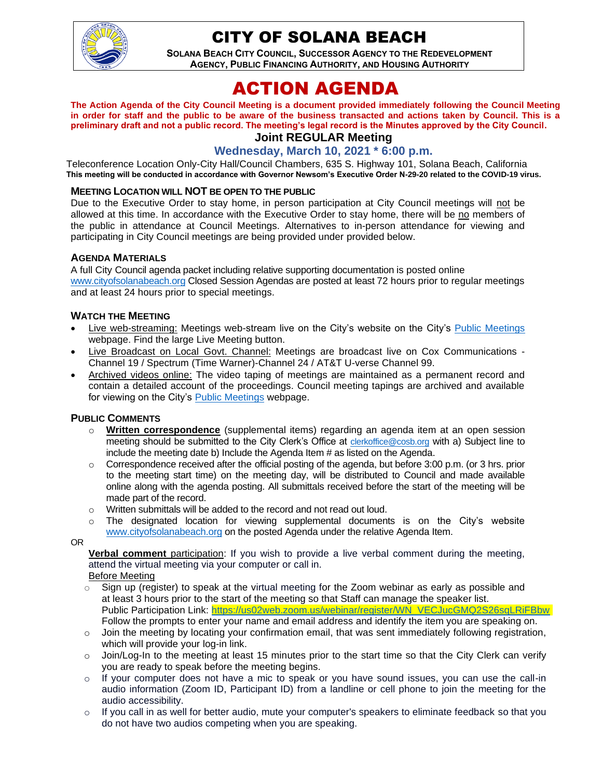

# CITY OF SOLANA BEACH

**SOLANA BEACH CITY COUNCIL, SUCCESSOR AGENCY TO THE REDEVELOPMENT AGENCY, PUBLIC FINANCING AUTHORITY, AND HOUSING AUTHORITY** 

# ACTION AGENDA

**The Action Agenda of the City Council Meeting is a document provided immediately following the Council Meeting in order for staff and the public to be aware of the business transacted and actions taken by Council. This is a preliminary draft and not a public record. The meeting's legal record is the Minutes approved by the City Council.**

# **Joint REGULAR Meeting**

**Wednesday, March 10, 2021 \* 6:00 p.m.**

Teleconference Location Only-City Hall/Council Chambers, 635 S. Highway 101, Solana Beach, California **This meeting will be conducted in accordance with Governor Newsom's Executive Order N-29-20 related to the COVID-19 virus.**

#### **MEETING LOCATION WILL NOT BE OPEN TO THE PUBLIC**

Due to the Executive Order to stay home, in person participation at City Council meetings will not be allowed at this time. In accordance with the Executive Order to stay home, there will be no members of the public in attendance at Council Meetings. Alternatives to in-person attendance for viewing and participating in City Council meetings are being provided under provided below.

#### **AGENDA MATERIALS**

A full City Council agenda packet including relative supporting documentation is posted online [www.cityofsolanabeach.org](http://www.cityofsolanabeach.org/) Closed Session Agendas are posted at least 72 hours prior to regular meetings and at least 24 hours prior to special meetings.

#### **WATCH THE MEETING**

- Live web-streaming: Meetings web-stream live on the City's website on the City's [Public Meetings](https://urldefense.proofpoint.com/v2/url?u=https-3A__www.ci.solana-2Dbeach.ca.us_index.asp-3FSEC-3DF0F1200D-2D21C6-2D4A88-2D8AE1-2D0BC07C1A81A7-26Type-3DB-5FBASIC&d=DwMFAg&c=euGZstcaTDllvimEN8b7jXrwqOf-v5A_CdpgnVfiiMM&r=1XAsCUuqwK_tji2t0s1uIQ&m=wny2RVfZJ2tN24LkqZmkUWNpwL_peNtTZUBlTBZiMM4&s=WwpcEQpHHkFen6nS6q2waMuQ_VMZ-i1YZ60lD-dYRRE&e=) webpage. Find the large Live Meeting button.
- Live Broadcast on Local Govt. Channel: Meetings are broadcast live on Cox Communications Channel 19 / Spectrum (Time Warner)-Channel 24 / AT&T U-verse Channel 99.
- Archived videos online: The video taping of meetings are maintained as a permanent record and contain a detailed account of the proceedings. Council meeting tapings are archived and available for viewing on the City's [Public Meetings](https://urldefense.proofpoint.com/v2/url?u=https-3A__www.ci.solana-2Dbeach.ca.us_index.asp-3FSEC-3DF0F1200D-2D21C6-2D4A88-2D8AE1-2D0BC07C1A81A7-26Type-3DB-5FBASIC&d=DwMFAg&c=euGZstcaTDllvimEN8b7jXrwqOf-v5A_CdpgnVfiiMM&r=1XAsCUuqwK_tji2t0s1uIQ&m=wny2RVfZJ2tN24LkqZmkUWNpwL_peNtTZUBlTBZiMM4&s=WwpcEQpHHkFen6nS6q2waMuQ_VMZ-i1YZ60lD-dYRRE&e=) webpage.

#### **PUBLIC COMMENTS**

- o **Written correspondence** (supplemental items) regarding an agenda item at an open session meeting should be submitted to the City Clerk's Office at [clerkoffice@cosb.org](mailto:clerkoffice@cosb.org) with a) Subject line to include the meeting date b) Include the Agenda Item # as listed on the Agenda.
- $\circ$  Correspondence received after the official posting of the agenda, but before 3:00 p.m. (or 3 hrs. prior to the meeting start time) on the meeting day, will be distributed to Council and made available online along with the agenda posting. All submittals received before the start of the meeting will be made part of the record.
- o Written submittals will be added to the record and not read out loud.
- $\circ$  The designated location for viewing supplemental documents is on the City's website [www.cityofsolanabeach.org](http://www.cityofsolanabeach.org/) on the posted Agenda under the relative Agenda Item.

OR

**Verbal comment** participation: If you wish to provide a live verbal comment during the meeting, attend the virtual meeting via your computer or call in.

Before Meeting

- $\circ$  Sign up (register) to speak at the virtual meeting for the Zoom webinar as early as possible and at least 3 hours prior to the start of the meeting so that Staff can manage the speaker list. Public Participation Link: [https://us02web.zoom.us/webinar/register/WN\\_VECJucGMQ2S26sqLRiFBbw](https://us02web.zoom.us/webinar/register/WN_VECJucGMQ2S26sqLRiFBbw) Follow the prompts to enter your name and email address and identify the item you are speaking on.
- o Join the meeting by locating your confirmation email, that was sent immediately following registration, which will provide your log-in link.
- $\circ$  Join/Log-In to the meeting at least 15 minutes prior to the start time so that the City Clerk can verify you are ready to speak before the meeting begins.
- $\circ$  If your computer does not have a mic to speak or you have sound issues, you can use the call-in audio information (Zoom ID, Participant ID) from a landline or cell phone to join the meeting for the audio accessibility.
- $\circ$  If you call in as well for better audio, mute your computer's speakers to eliminate feedback so that you do not have two audios competing when you are speaking.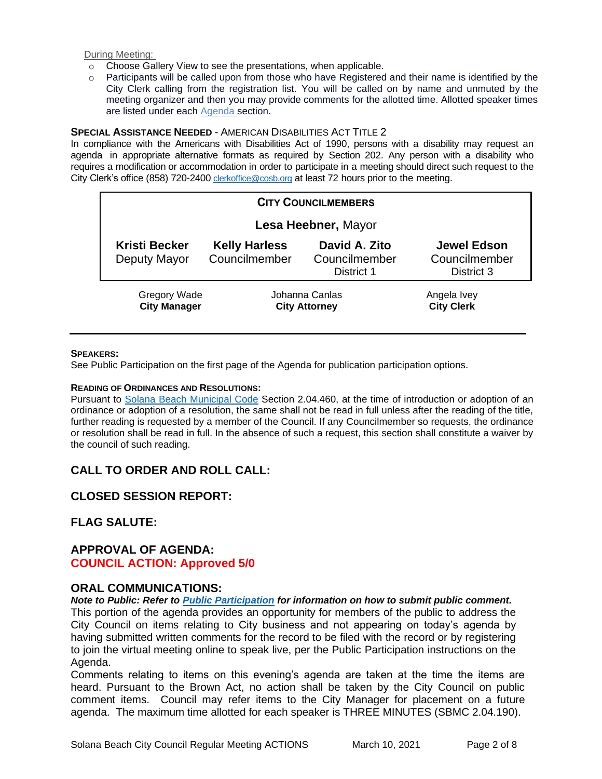During Meeting:

- o Choose Gallery View to see the presentations, when applicable.
- o Participants will be called upon from those who have Registered and their name is identified by the City Clerk calling from the registration list. You will be called on by name and unmuted by the meeting organizer and then you may provide comments for the allotted time. Allotted speaker times are listed under each [Agenda s](https://urldefense.proofpoint.com/v2/url?u=https-3A__www.ci.solana-2Dbeach.ca.us_index.asp-3FSEC-3DF0F1200D-2D21C6-2D4A88-2D8AE1-2D0BC07C1A81A7-26Type-3DB-5FBASIC&d=DwMFaQ&c=euGZstcaTDllvimEN8b7jXrwqOf-v5A_CdpgnVfiiMM&r=1XAsCUuqwK_tji2t0s1uIQ&m=C7WzXfOw2_nkEFMJClT55zZsF4tmIf_7KTn0o1WpYqI&s=3DcsWExM2_nx_xpvFtXslUjphiXd0MDCCF18y_Qy5yU&e=)ection.

#### **SPECIAL ASSISTANCE NEEDED** - AMERICAN DISABILITIES ACT TITLE 2

In compliance with the Americans with Disabilities Act of 1990, persons with a disability may request an agenda in appropriate alternative formats as required by Section 202. Any person with a disability who requires a modification or accommodation in order to participate in a meeting should direct such request to the City Clerk's office (858) 720-2400 [clerkoffice@cosb.org](mailto:EMAILGRP-CityClerksOfc@cosb.org) at least 72 hours prior to the meeting.

| <b>CITY COUNCILMEMBERS</b>                 |                                        |                                              |                                                   |
|--------------------------------------------|----------------------------------------|----------------------------------------------|---------------------------------------------------|
| Lesa Heebner, Mayor                        |                                        |                                              |                                                   |
| <b>Kristi Becker</b><br>Deputy Mayor       | <b>Kelly Harless</b><br>Councilmember  | David A. Zito<br>Councilmember<br>District 1 | <b>Jewel Edson</b><br>Councilmember<br>District 3 |
| <b>Gregory Wade</b><br><b>City Manager</b> | Johanna Canlas<br><b>City Attorney</b> |                                              | Angela Ivey<br><b>City Clerk</b>                  |

#### **SPEAKERS:**

See Public Participation on the first page of the Agenda for publication participation options.

#### **READING OF ORDINANCES AND RESOLUTIONS:**

Pursuant to [Solana Beach Municipal Code](https://www.codepublishing.com/CA/SolanaBeach/) Section 2.04.460, at the time of introduction or adoption of an ordinance or adoption of a resolution, the same shall not be read in full unless after the reading of the title, further reading is requested by a member of the Council. If any Councilmember so requests, the ordinance or resolution shall be read in full. In the absence of such a request, this section shall constitute a waiver by the council of such reading.

# **CALL TO ORDER AND ROLL CALL:**

# **CLOSED SESSION REPORT:**

# **FLAG SALUTE:**

## **APPROVAL OF AGENDA: COUNCIL ACTION: Approved 5/0**

## **ORAL COMMUNICATIONS:**

*Note to Public: Refer to Public Participation for information on how to submit public comment.*  This portion of the agenda provides an opportunity for members of the public to address the City Council on items relating to City business and not appearing on today's agenda by having submitted written comments for the record to be filed with the record or by registering to join the virtual meeting online to speak live, per the Public Participation instructions on the Agenda.

Comments relating to items on this evening's agenda are taken at the time the items are heard. Pursuant to the Brown Act, no action shall be taken by the City Council on public comment items. Council may refer items to the City Manager for placement on a future agenda. The maximum time allotted for each speaker is THREE MINUTES (SBMC 2.04.190).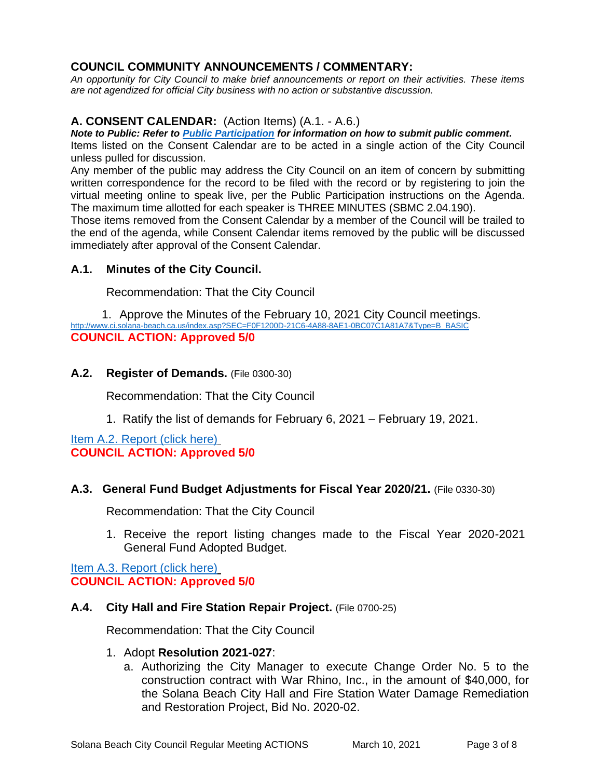# **COUNCIL COMMUNITY ANNOUNCEMENTS / COMMENTARY:**

*An opportunity for City Council to make brief announcements or report on their activities. These items are not agendized for official City business with no action or substantive discussion.* 

# **A. CONSENT CALENDAR:** (Action Items) (A.1. - A.6.)

*Note to Public: Refer to Public Participation for information on how to submit public comment.* 

Items listed on the Consent Calendar are to be acted in a single action of the City Council unless pulled for discussion.

Any member of the public may address the City Council on an item of concern by submitting written correspondence for the record to be filed with the record or by registering to join the virtual meeting online to speak live, per the Public Participation instructions on the Agenda. The maximum time allotted for each speaker is THREE MINUTES (SBMC 2.04.190).

Those items removed from the Consent Calendar by a member of the Council will be trailed to the end of the agenda, while Consent Calendar items removed by the public will be discussed immediately after approval of the Consent Calendar.

# **A.1. Minutes of the City Council.**

Recommendation: That the City Council

1. Approve the Minutes of the February 10, 2021 City Council meetings. [http://www.ci.solana-beach.ca.us/index.asp?SEC=F0F1200D-21C6-4A88-8AE1-0BC07C1A81A7&Type=B\\_BASIC](http://www.ci.solana-beach.ca.us/index.asp?SEC=F0F1200D-21C6-4A88-8AE1-0BC07C1A81A7&Type=B_BASIC) **COUNCIL ACTION: Approved 5/0**

## **A.2. Register of Demands.** (File 0300-30)

Recommendation: That the City Council

1. Ratify the list of demands for February 6, 2021 – February 19, 2021.

[Item A.2. Report \(click here\)](https://solanabeach.govoffice3.com/vertical/Sites/%7B840804C2-F869-4904-9AE3-720581350CE7%7D/uploads/Item_A.2._Report_(click_here)_3-10-21_-O.pdf) **COUNCIL ACTION: Approved 5/0**

## **A.3. General Fund Budget Adjustments for Fiscal Year 2020/21.** (File 0330-30)

Recommendation: That the City Council

1. Receive the report listing changes made to the Fiscal Year 2020-2021 General Fund Adopted Budget.

[Item A.3. Report \(click here\)](https://solanabeach.govoffice3.com/vertical/Sites/%7B840804C2-F869-4904-9AE3-720581350CE7%7D/uploads/Item_A.3._Report_(click_here)_3-10-21_-O.pdf) **COUNCIL ACTION: Approved 5/0**

## **A.4. City Hall and Fire Station Repair Project.** (File 0700-25)

Recommendation: That the City Council

## 1. Adopt **Resolution 2021-027**:

a. Authorizing the City Manager to execute Change Order No. 5 to the construction contract with War Rhino, Inc., in the amount of \$40,000, for the Solana Beach City Hall and Fire Station Water Damage Remediation and Restoration Project, Bid No. 2020-02.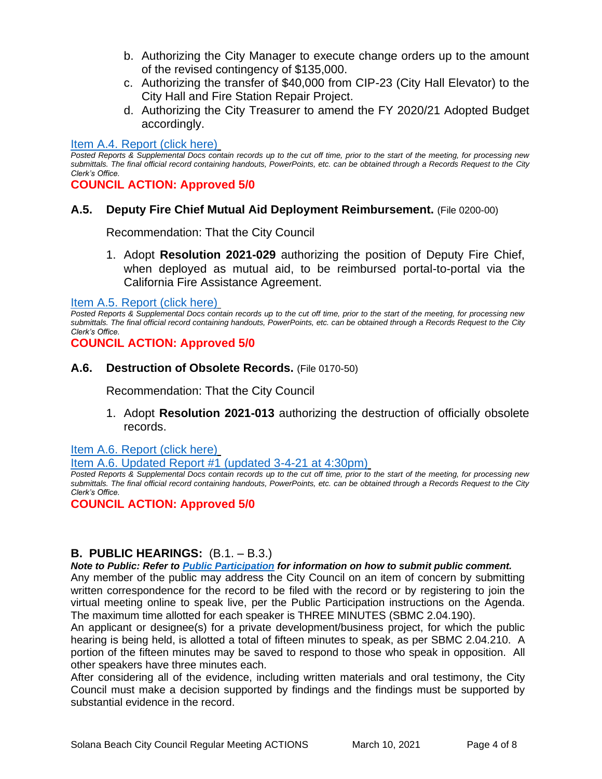- b. Authorizing the City Manager to execute change orders up to the amount of the revised contingency of \$135,000.
- c. Authorizing the transfer of \$40,000 from CIP-23 (City Hall Elevator) to the City Hall and Fire Station Repair Project.
- d. Authorizing the City Treasurer to amend the FY 2020/21 Adopted Budget accordingly.

#### [Item A.4. Report \(click here\)](https://solanabeach.govoffice3.com/vertical/Sites/%7B840804C2-F869-4904-9AE3-720581350CE7%7D/uploads/Item_A.4._Report_(click_here)_3-10-21_-O(1).pdf)

*Posted Reports & Supplemental Docs contain records up to the cut off time, prior to the start of the meeting, for processing new submittals. The final official record containing handouts, PowerPoints, etc. can be obtained through a Records Request to the City Clerk's Office.*

#### **COUNCIL ACTION: Approved 5/0**

## **A.5. Deputy Fire Chief Mutual Aid Deployment Reimbursement.** (File 0200-00)

Recommendation: That the City Council

1. Adopt **Resolution 2021-029** authorizing the position of Deputy Fire Chief, when deployed as mutual aid, to be reimbursed portal-to-portal via the California Fire Assistance Agreement.

[Item A.5. Report \(click here\)](https://solanabeach.govoffice3.com/vertical/Sites/%7B840804C2-F869-4904-9AE3-720581350CE7%7D/uploads/Item_A.5._Report_(click_here)_3-10-21_-O.pdf)

*Posted Reports & Supplemental Docs contain records up to the cut off time, prior to the start of the meeting, for processing new submittals. The final official record containing handouts, PowerPoints, etc. can be obtained through a Records Request to the City Clerk's Office.*

**COUNCIL ACTION: Approved 5/0**

#### **A.6. Destruction of Obsolete Records.** (File 0170-50)

Recommendation: That the City Council

1. Adopt **Resolution 2021-013** authorizing the destruction of officially obsolete records.

[Item A.6. Report \(click here\)](https://solanabeach.govoffice3.com/vertical/Sites/%7B840804C2-F869-4904-9AE3-720581350CE7%7D/uploads/Item_A.6._Report_(click_here)_3-10-21-O(2).pdf)

[Item A.6. Updated Report #1 \(updated 3-4-21 at 4:30pm\)](https://solanabeach.govoffice3.com/vertical/Sites/%7B840804C2-F869-4904-9AE3-720581350CE7%7D/uploads/Item_A.6._Staff_Report_Update_1_-_O.pdf)

*Posted Reports & Supplemental Docs contain records up to the cut off time, prior to the start of the meeting, for processing new submittals. The final official record containing handouts, PowerPoints, etc. can be obtained through a Records Request to the City Clerk's Office.*

#### **COUNCIL ACTION: Approved 5/0**

## **B. PUBLIC HEARINGS:** (B.1. – B.3.)

*Note to Public: Refer to Public Participation for information on how to submit public comment.*  Any member of the public may address the City Council on an item of concern by submitting written correspondence for the record to be filed with the record or by registering to join the virtual meeting online to speak live, per the Public Participation instructions on the Agenda. The maximum time allotted for each speaker is THREE MINUTES (SBMC 2.04.190).

An applicant or designee(s) for a private development/business project, for which the public hearing is being held, is allotted a total of fifteen minutes to speak, as per SBMC 2.04.210. A portion of the fifteen minutes may be saved to respond to those who speak in opposition. All other speakers have three minutes each.

After considering all of the evidence, including written materials and oral testimony, the City Council must make a decision supported by findings and the findings must be supported by substantial evidence in the record.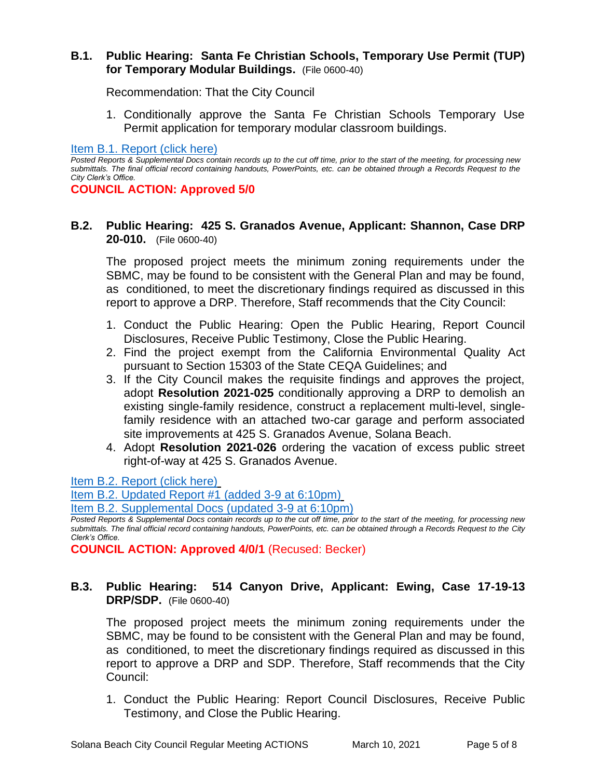## **B.1. Public Hearing: Santa Fe Christian Schools, Temporary Use Permit (TUP) for Temporary Modular Buildings.** (File 0600-40)

Recommendation: That the City Council

1. Conditionally approve the Santa Fe Christian Schools Temporary Use Permit application for temporary modular classroom buildings.

[Item B.1. Report \(click here\)](https://solanabeach.govoffice3.com/vertical/Sites/%7B840804C2-F869-4904-9AE3-720581350CE7%7D/uploads/Item_B.1._Report_(click_here)_3-10-21_-O.pdf)

*Posted Reports & Supplemental Docs contain records up to the cut off time, prior to the start of the meeting, for processing new submittals. The final official record containing handouts, PowerPoints, etc. can be obtained through a Records Request to the City Clerk's Office.*

**COUNCIL ACTION: Approved 5/0**

# **B.2. Public Hearing: 425 S. Granados Avenue, Applicant: Shannon, Case DRP 20-010.** (File 0600-40)

The proposed project meets the minimum zoning requirements under the SBMC, may be found to be consistent with the General Plan and may be found, as conditioned, to meet the discretionary findings required as discussed in this report to approve a DRP. Therefore, Staff recommends that the City Council:

- 1. Conduct the Public Hearing: Open the Public Hearing, Report Council Disclosures, Receive Public Testimony, Close the Public Hearing.
- 2. Find the project exempt from the California Environmental Quality Act pursuant to Section 15303 of the State CEQA Guidelines; and
- 3. If the City Council makes the requisite findings and approves the project, adopt **Resolution 2021-025** conditionally approving a DRP to demolish an existing single-family residence, construct a replacement multi-level, singlefamily residence with an attached two-car garage and perform associated site improvements at 425 S. Granados Avenue, Solana Beach.
- 4. Adopt **Resolution 2021-026** ordering the vacation of excess public street right-of-way at 425 S. Granados Avenue.

[Item B.2. Report \(click here\)](https://solanabeach.govoffice3.com/vertical/Sites/%7B840804C2-F869-4904-9AE3-720581350CE7%7D/uploads/Item_B.2._Report_(click_here)_3-10-21_-_O.pdf)

[Item B.2. Updated Report #1 \(added 3-9 at 6:10pm\)](https://solanabeach.govoffice3.com/vertical/Sites/%7B840804C2-F869-4904-9AE3-720581350CE7%7D/uploads/Item_B.2._Updated_Report_1_(upd._3-9-21)_-_O.pdf)

[Item B.2. Supplemental Docs \(updated 3-9 at 6:10pm\)](https://solanabeach.govoffice3.com/vertical/Sites/%7B840804C2-F869-4904-9AE3-720581350CE7%7D/uploads/Item_B.2._Supplemental_Docs_(upd._3-9)_-_O.pdf)

*Posted Reports & Supplemental Docs contain records up to the cut off time, prior to the start of the meeting, for processing new submittals. The final official record containing handouts, PowerPoints, etc. can be obtained through a Records Request to the City Clerk's Office.*

**COUNCIL ACTION: Approved 4/0/1** (Recused: Becker)

# **B.3. Public Hearing: 514 Canyon Drive, Applicant: Ewing, Case 17-19-13 DRP/SDP.** (File 0600-40)

The proposed project meets the minimum zoning requirements under the SBMC, may be found to be consistent with the General Plan and may be found, as conditioned, to meet the discretionary findings required as discussed in this report to approve a DRP and SDP. Therefore, Staff recommends that the City Council:

1. Conduct the Public Hearing: Report Council Disclosures, Receive Public Testimony, and Close the Public Hearing.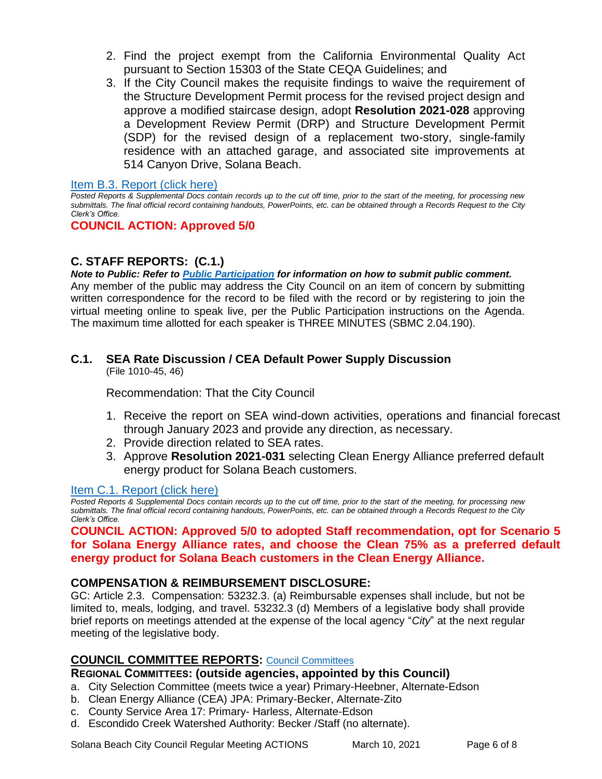- 2. Find the project exempt from the California Environmental Quality Act pursuant to Section 15303 of the State CEQA Guidelines; and
- 3. If the City Council makes the requisite findings to waive the requirement of the Structure Development Permit process for the revised project design and approve a modified staircase design, adopt **Resolution 2021-028** approving a Development Review Permit (DRP) and Structure Development Permit (SDP) for the revised design of a replacement two-story, single-family residence with an attached garage, and associated site improvements at 514 Canyon Drive, Solana Beach.

## [Item B.3. Report \(click here\)](https://solanabeach.govoffice3.com/vertical/Sites/%7B840804C2-F869-4904-9AE3-720581350CE7%7D/uploads/Item_B.3._Report_(click_here)_3-10-21_-O.pdf)

*Posted Reports & Supplemental Docs contain records up to the cut off time, prior to the start of the meeting, for processing new submittals. The final official record containing handouts, PowerPoints, etc. can be obtained through a Records Request to the City Clerk's Office.*

## **COUNCIL ACTION: Approved 5/0**

# **C. STAFF REPORTS: (C.1.)**

*Note to Public: Refer to Public Participation for information on how to submit public comment.*  Any member of the public may address the City Council on an item of concern by submitting written correspondence for the record to be filed with the record or by registering to join the virtual meeting online to speak live, per the Public Participation instructions on the Agenda. The maximum time allotted for each speaker is THREE MINUTES (SBMC 2.04.190).

# **C.1. SEA Rate Discussion / CEA Default Power Supply Discussion**

(File 1010-45, 46)

Recommendation: That the City Council

- 1. Receive the report on SEA wind-down activities, operations and financial forecast through January 2023 and provide any direction, as necessary.
- 2. Provide direction related to SEA rates.
- 3. Approve **Resolution 2021-031** selecting Clean Energy Alliance preferred default [energy product for Solana Beach customers.](https://solanabeach.govoffice3.com/vertical/Sites/%7B840804C2-F869-4904-9AE3-720581350CE7%7D/uploads/Item_C.1._Report_(click_here)_03-10-21_-_O.pdf)

## [Item C.1. Report \(click here\)](https://solanabeach.govoffice3.com/vertical/Sites/%7B840804C2-F869-4904-9AE3-720581350CE7%7D/uploads/Item_C.1._Report_(click_here)_03-10-21_-_O.pdf)

*Posted Reports & Supplemental Docs contain records up to the cut off time, prior to the start of the meeting, for processing new submittals. The final official record containing handouts, PowerPoints, etc. can be obtained through a Records Request to the City Clerk's Office.*

**COUNCIL ACTION: Approved 5/0 to adopted Staff recommendation, opt for Scenario 5 for Solana Energy Alliance rates, and choose the Clean 75% as a preferred default energy product for Solana Beach customers in the Clean Energy Alliance.** 

## **COMPENSATION & REIMBURSEMENT DISCLOSURE:**

GC: Article 2.3. Compensation: 53232.3. (a) Reimbursable expenses shall include, but not be limited to, meals, lodging, and travel. 53232.3 (d) Members of a legislative body shall provide brief reports on meetings attended at the expense of the local agency "*City*" at the next regular meeting of the legislative body.

# **COUNCIL COMMITTEE REPORTS:** [Council Committees](https://www.ci.solana-beach.ca.us/index.asp?SEC=584E1192-3850-46EA-B977-088AC3E81E0D&Type=B_BASIC)

## **REGIONAL COMMITTEES: (outside agencies, appointed by this Council)**

- a. City Selection Committee (meets twice a year) Primary-Heebner, Alternate-Edson
- b. Clean Energy Alliance (CEA) JPA: Primary-Becker, Alternate-Zito
- c. County Service Area 17: Primary- Harless, Alternate-Edson
- d. Escondido Creek Watershed Authority: Becker /Staff (no alternate).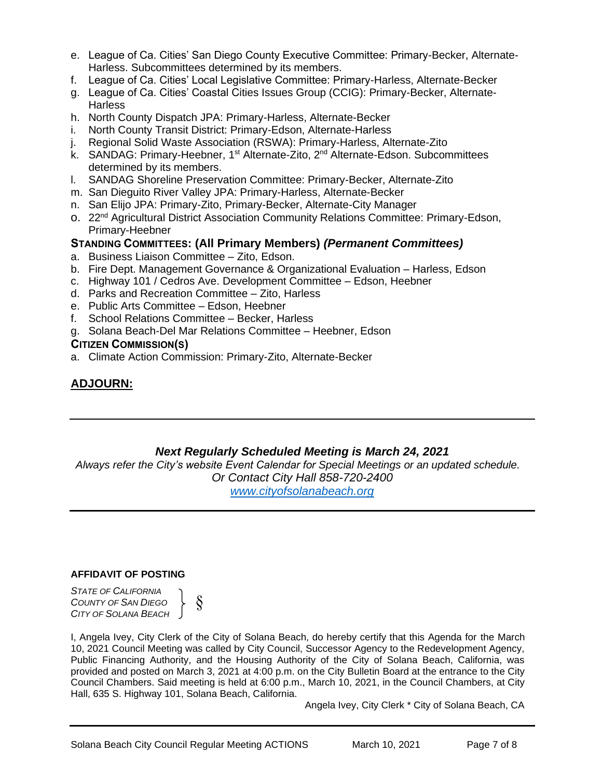- e. League of Ca. Cities' San Diego County Executive Committee: Primary-Becker, Alternate-Harless. Subcommittees determined by its members.
- f. League of Ca. Cities' Local Legislative Committee: Primary-Harless, Alternate-Becker
- g. League of Ca. Cities' Coastal Cities Issues Group (CCIG): Primary-Becker, Alternate-**Harless**
- h. North County Dispatch JPA: Primary-Harless, Alternate-Becker
- i. North County Transit District: Primary-Edson, Alternate-Harless
- j. Regional Solid Waste Association (RSWA): Primary-Harless, Alternate-Zito
- k. SANDAG: Primary-Heebner, 1<sup>st</sup> Alternate-Zito, 2<sup>nd</sup> Alternate-Edson. Subcommittees determined by its members.
- l. SANDAG Shoreline Preservation Committee: Primary-Becker, Alternate-Zito
- m. San Dieguito River Valley JPA: Primary-Harless, Alternate-Becker
- n. San Elijo JPA: Primary-Zito, Primary-Becker, Alternate-City Manager
- o. 22<sup>nd</sup> Agricultural District Association Community Relations Committee: Primary-Edson, Primary-Heebner

## **STANDING COMMITTEES: (All Primary Members)** *(Permanent Committees)*

- a. Business Liaison Committee Zito, Edson.
- b. Fire Dept. Management Governance & Organizational Evaluation Harless, Edson
- c. Highway 101 / Cedros Ave. Development Committee Edson, Heebner
- d. Parks and Recreation Committee Zito, Harless
- e. Public Arts Committee Edson, Heebner
- f. School Relations Committee Becker, Harless
- g. Solana Beach-Del Mar Relations Committee Heebner, Edson

#### **CITIZEN COMMISSION(S)**

a. Climate Action Commission: Primary-Zito, Alternate-Becker

# **ADJOURN:**

# *Next Regularly Scheduled Meeting is March 24, 2021*

*Always refer the City's website Event Calendar for Special Meetings or an updated schedule. Or Contact City Hall 858-720-2400 [www.cityofsolanabeach.org](http://www.cityofsolanabeach.org/)* 

#### **AFFIDAVIT OF POSTING**

*STATE OF CALIFORNIA COUNTY OF SAN DIEGO CITY OF SOLANA BEACH*

§

I, Angela Ivey, City Clerk of the City of Solana Beach, do hereby certify that this Agenda for the March 10, 2021 Council Meeting was called by City Council, Successor Agency to the Redevelopment Agency, Public Financing Authority, and the Housing Authority of the City of Solana Beach, California, was provided and posted on March 3, 2021 at 4:00 p.m. on the City Bulletin Board at the entrance to the City Council Chambers. Said meeting is held at 6:00 p.m., March 10, 2021, in the Council Chambers, at City Hall, 635 S. Highway 101, Solana Beach, California.

Angela Ivey, City Clerk \* City of Solana Beach, CA